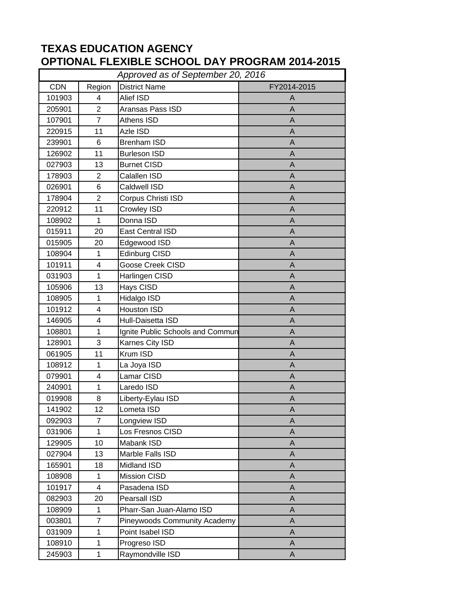## **TEXAS EDUCATION AGENCY OPTIONAL FLEXIBLE SCHOOL DAY PROGRAM 2014-2015**

| Approved as of September 20, 2016 |                |                                  |             |  |  |
|-----------------------------------|----------------|----------------------------------|-------------|--|--|
| <b>CDN</b>                        | Region         | <b>District Name</b>             | FY2014-2015 |  |  |
| 101903                            | $\overline{4}$ | Alief ISD                        | A           |  |  |
| 205901                            | 2              | Aransas Pass ISD                 | A           |  |  |
| 107901                            | $\overline{7}$ | Athens ISD                       | A           |  |  |
| 220915                            | 11             | Azle ISD                         | A           |  |  |
| 239901                            | 6              | <b>Brenham ISD</b>               | A           |  |  |
| 126902                            | 11             | <b>Burleson ISD</b>              | A           |  |  |
| 027903                            | 13             | <b>Burnet CISD</b>               | A           |  |  |
| 178903                            | $\overline{2}$ | Calallen ISD                     | A           |  |  |
| 026901                            | 6              | Caldwell ISD                     | A           |  |  |
| 178904                            | $\overline{2}$ | Corpus Christi ISD               | A           |  |  |
| 220912                            | 11             | Crowley ISD                      | A           |  |  |
| 108902                            | 1              | Donna ISD                        | A           |  |  |
| 015911                            | 20             | East Central ISD                 | A           |  |  |
| 015905                            | 20             | Edgewood ISD                     | A           |  |  |
| 108904                            | 1              | Edinburg CISD                    | A           |  |  |
| 101911                            | 4              | Goose Creek CISD                 | A           |  |  |
| 031903                            | 1              | Harlingen CISD                   | A           |  |  |
| 105906                            | 13             | Hays CISD                        | A           |  |  |
| 108905                            | 1              | Hidalgo ISD                      | A           |  |  |
| 101912                            | 4              | Houston ISD                      | A           |  |  |
| 146905                            | 4              | Hull-Daisetta ISD                | A           |  |  |
| 108801                            | 1              | Ignite Public Schools and Commun | A           |  |  |
| 128901                            | 3              | Karnes City ISD                  | A           |  |  |
| 061905                            | 11             | Krum ISD                         | A           |  |  |
| 108912                            | 1              | La Joya ISD                      | A           |  |  |
| 079901                            | 4              | Lamar CISD                       | A           |  |  |
| 240901                            | 1              | Laredo ISD                       | A           |  |  |
| 019908                            | 8              | Liberty-Eylau ISD                | A           |  |  |
| 141902                            | 12             | Lometa ISD                       | Α           |  |  |
| 092903                            | $\overline{7}$ | Longview ISD                     | A           |  |  |
| 031906                            | $\mathbf 1$    | Los Fresnos CISD                 | A           |  |  |
| 129905                            | 10             | Mabank ISD                       | A           |  |  |
| 027904                            | 13             | Marble Falls ISD                 | A           |  |  |
| 165901                            | 18             | Midland ISD                      | A           |  |  |
| 108908                            | $\mathbf 1$    | <b>Mission CISD</b>              | $\mathsf A$ |  |  |
| 101917                            | 4              | Pasadena ISD                     | A           |  |  |
| 082903                            | 20             | Pearsall ISD                     | A           |  |  |
| 108909                            | $\mathbf 1$    | Pharr-San Juan-Alamo ISD         | A           |  |  |
| 003801                            | $\overline{7}$ | Pineywoods Community Academy     | A           |  |  |
| 031909                            | 1              | Point Isabel ISD                 | A           |  |  |
| 108910                            | $\mathbf{1}$   | Progreso ISD                     | A           |  |  |
| 245903                            | 1              | Raymondville ISD                 | A           |  |  |